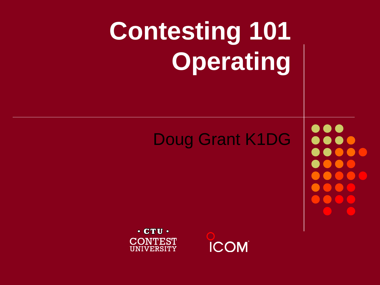# **Contesting 101 Operating**

#### Doug Grant K1DG

**...** 

 $\cdot$  CTU  $\cdot$ **CONTEST UNIVERSITY** 

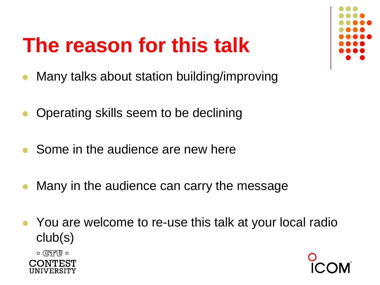#### **The reason for this talk**

- ⚫ Many talks about station building/improving
- ⚫ Operating skills seem to be declining
- ⚫ Some in the audience are new here
- ⚫ Many in the audience can carry the message
- You are welcome to re-use this talk at your local radio club(s)

 $\circ$  True  $\circ$ 



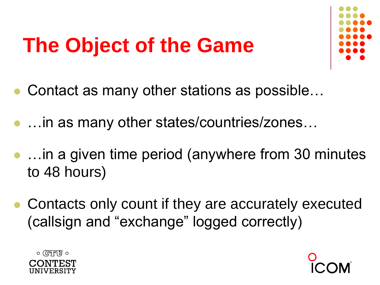#### **The Object of the Game**



- ⚫ Contact as many other stations as possible…
- …in as many other states/countries/zones…
- ⚫ …in a given time period (anywhere from 30 minutes to 48 hours)
- Contacts only count if they are accurately executed (callsign and "exchange" logged correctly)



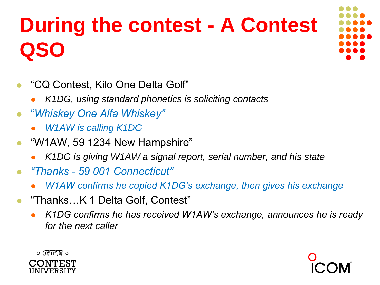## **During the contest - A Contest QSO**

- ⚫ "CQ Contest, Kilo One Delta Golf"
	- ⚫ *K1DG, using standard phonetics is soliciting contacts*
- $\bullet$ "*Whiskey One Alfa Whiskey"*
	- ⚫ *W1AW is calling K1DG*
- "W1AW, 59 1234 New Hampshire"
	- ⚫ *K1DG is giving W1AW a signal report, serial number, and his state*
- ⚫ *"Thanks - 59 001 Connecticut"*
	- ⚫ *W1AW confirms he copied K1DG's exchange, then gives his exchange*
- "Thanks…K 1 Delta Golf, Contest"
	- ⚫ *K1DG confirms he has received W1AW's exchange, announces he is ready for the next caller*



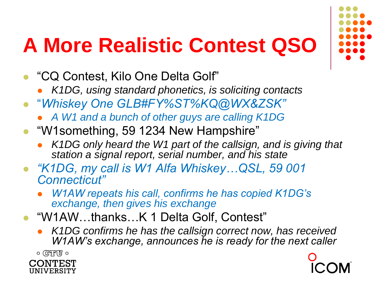### **A More Realistic Contest QSO**

- ⚫ "CQ Contest, Kilo One Delta Golf"
	- ⚫ *K1DG, using standard phonetics, is soliciting contacts*
- $\bullet$ "*Whiskey One GLB#FY%ST%KQ@WX&ZSK"*
	- ⚫ *A W1 and a bunch of other guys are calling K1DG*
- "W1something, 59 1234 New Hampshire"
	- ⚫ *K1DG only heard the W1 part of the callsign, and is giving that station a signal report, serial number, and his state*
- ⚫ *"K1DG, my call is W1 Alfa Whiskey…QSL, 59 001 Connecticut"*
	- ⚫ *W1AW repeats his call, confirms he has copied K1DG's exchange, then gives his exchange*
- ⚫ "W1AW…thanks…K 1 Delta Golf, Contest"
	- ⚫ *K1DG confirms he has the callsign correct now, has received W1AW's exchange, announces he is ready for the next caller*

 $\circ$  (स्मित्ति)  $\circ$ CONTEST UNIVERSITY

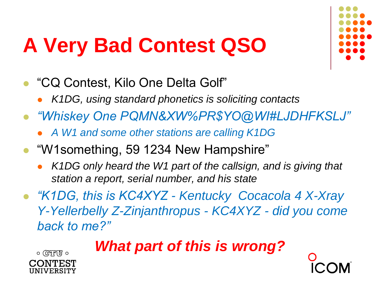### **A Very Bad Contest QSO**



- ⚫ "CQ Contest, Kilo One Delta Golf"
	- ⚫ *K1DG, using standard phonetics is soliciting contacts*
- ⚫ *"Whiskey One PQMN&XW%PR\$YO@WI#LJDHFKSLJ"*
	- ⚫ *A W1 and some other stations are calling K1DG*
- "W1something, 59 1234 New Hampshire"
	- ⚫ *K1DG only heard the W1 part of the callsign, and is giving that station a report, serial number, and his state*
- ⚫ *"K1DG, this is KC4XYZ - Kentucky Cocacola 4 X-Xray Y-Yellerbelly Z-Zinjanthropus - KC4XYZ - did you come back to me?"*

*What part of this is wrong?*

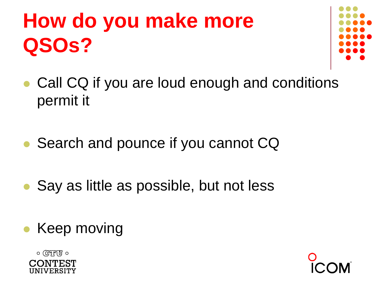## **How do you make more QSOs?**



- ⚫ Call CQ if you are loud enough and conditions permit it
- Search and pounce if you cannot CQ
- ⚫ Say as little as possible, but not less
- ⚫ Keep moving



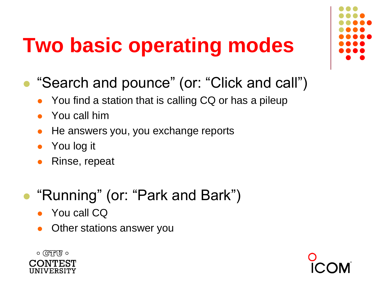### **Two basic operating modes**

- ⚫ "Search and pounce" (or: "Click and call")
	- You find a station that is calling CQ or has a pileup
	- ⚫ You call him
	- ⚫ He answers you, you exchange reports
	- You log it
	- Rinse, repeat
- ⚫ "Running" (or: "Park and Bark")
	- You call CQ
	- ⚫ Other stations answer you





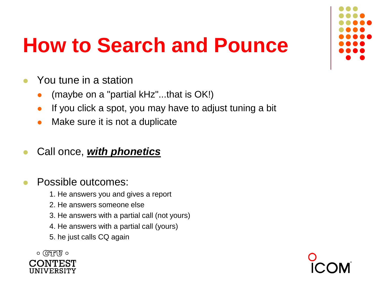

#### **How to Search and Pounce**

- You tune in a station
	- ⚫ (maybe on a "partial kHz"...that is OK!)
	- If you click a spot, you may have to adjust tuning a bit
	- ⚫ Make sure it is not a duplicate

#### ⚫ Call once, *with phonetics*

#### ⚫ Possible outcomes:

- 1. He answers you and gives a report
- 2. He answers someone else
- 3. He answers with a partial call (not yours)
- 4. He answers with a partial call (yours)
- 5. he just calls CQ again



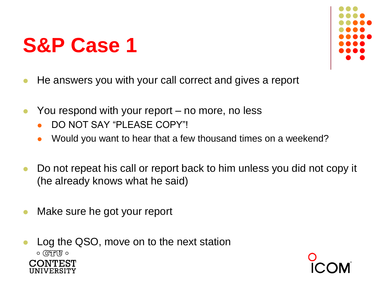

- ⚫ He answers you with your call correct and gives a report
- You respond with your report no more, no less
	- ⚫ DO NOT SAY "PLEASE COPY"!
	- ⚫ Would you want to hear that a few thousand times on a weekend?
- Do not repeat his call or report back to him unless you did not copy it (he already knows what he said)
- Make sure he got your report
- ⚫ Log the QSO, move on to the next station $\circ$  (स्थित)  $\circ$

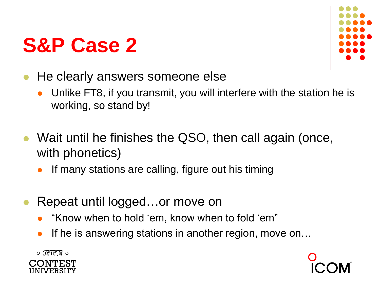

- He clearly answers someone else
	- Unlike FT8, if you transmit, you will interfere with the station he is working, so stand by!
- Wait until he finishes the QSO, then call again (once, with phonetics)
	- ⚫ If many stations are calling, figure out his timing
- ⚫ Repeat until logged…or move on
	- ⚫ "Know when to hold 'em, know when to fold 'em"
	- If he is answering stations in another region, move on...



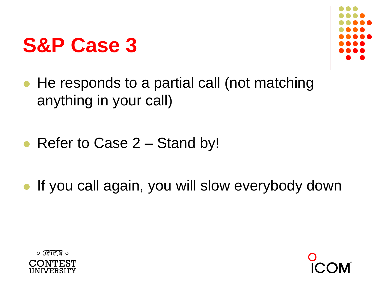

- ⚫ He responds to a partial call (not matching anything in your call)
- Refer to Case 2 Stand by!
- ⚫ If you call again, you will slow everybody down



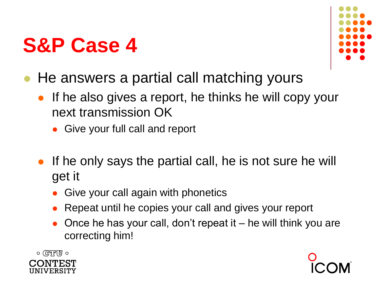

- ⚫ He answers a partial call matching yours
	- If he also gives a report, he thinks he will copy your next transmission OK
		- ⚫ Give your full call and report
	- If he only says the partial call, he is not sure he will get it
		- ⚫ Give your call again with phonetics
		- ⚫ Repeat until he copies your call and gives your report
		- ⚫ Once he has your call, don't repeat it he will think you are correcting him!



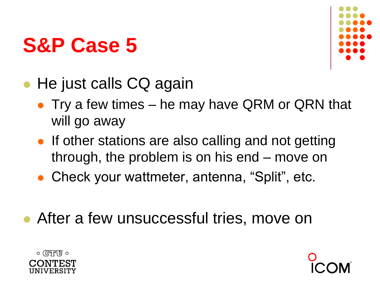

- He just calls CQ again
	- Try a few times he may have QRM or QRN that will go away
	- If other stations are also calling and not getting through, the problem is on his end – move on
	- Check your wattmeter, antenna, "Split", etc.
- ⚫ After a few unsuccessful tries, move on



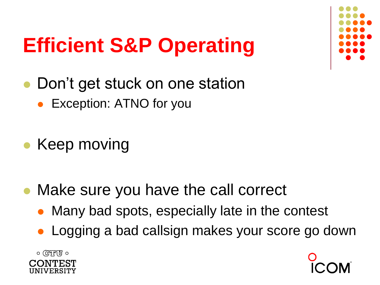

## **Efficient S&P Operating**

- Don't get stuck on one station
	- Exception: ATNO for you
- Keep moving
- ⚫ Make sure you have the call correct
	- ⚫ Many bad spots, especially late in the contest
	- ⚫ Logging a bad callsign makes your score go down



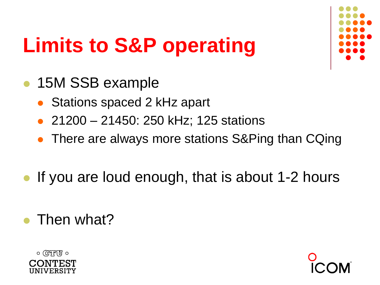

## **Limits to S&P operating**

- ⚫ 15M SSB example
	- ⚫ Stations spaced 2 kHz apart
	- ⚫ 21200 21450: 250 kHz; 125 stations
	- There are always more stations S&Ping than CQing
- If you are loud enough, that is about 1-2 hours
- Then what?



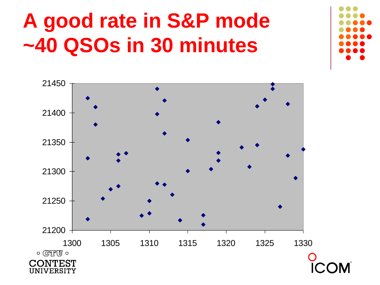### **A good rate in S&P mode ~40 QSOs in 30 minutes**



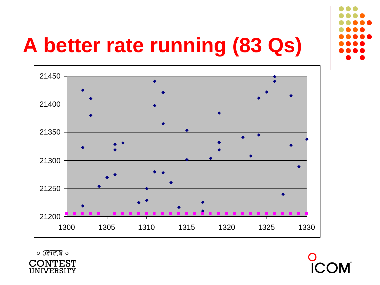

## **A better rate running (83 Qs)**





 $\circ$  TTU  $\circ$ CONTEST UNIVERSITY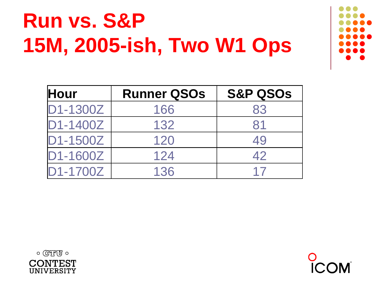## **Run vs. S&P 15M, 2005-ish, Two W1 Ops**

| <b>Hour</b> | <b>Runner QSOs</b> | <b>S&amp;P QSOS</b> |
|-------------|--------------------|---------------------|
| D1-1300Z    | 166                | 83                  |
| D1-1400Z    | 132                | 81                  |
| D1-1500Z    | 120                | 49                  |
| D1-1600Z    | 124                | 42                  |
| D1-1700Z    | 136                | 17                  |



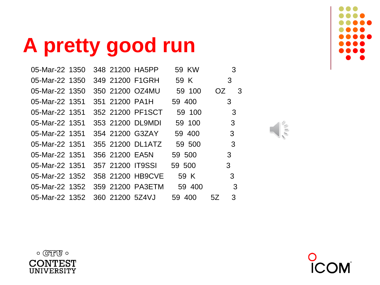**A pretty good run**

| 05-Mar-22 1350 |  |                 | 348 21200 HA5PP  | 59 KW  |     | 3   |
|----------------|--|-----------------|------------------|--------|-----|-----|
| 05-Mar-22 1350 |  |                 | 349 21200 F1GRH  | 59 K   |     | 3   |
| 05-Mar-22 1350 |  |                 | 350 21200 OZ4MU  | 59 100 | OZ. | - 3 |
| 05-Mar-22 1351 |  | 351 21200 PA1H  |                  | 59 400 |     | 3   |
| 05-Mar-22 1351 |  |                 | 352 21200 PF1SCT | 59 100 |     | 3   |
| 05-Mar-22 1351 |  |                 | 353 21200 DL9MDI | 59 100 |     | 3   |
| 05-Mar-22 1351 |  |                 | 354 21200 G3ZAY  | 59 400 |     | 3   |
| 05-Mar-22 1351 |  |                 | 355 21200 DL1ATZ | 59 500 |     | 3   |
| 05-Mar-22 1351 |  | 356 21200 EA5N  |                  | 59 500 |     | 3   |
| 05-Mar-22 1351 |  |                 | 357 21200 IT9SSI | 59 500 |     | 3   |
| 05-Mar-22 1352 |  |                 | 358 21200 HB9CVE | 59 K   |     | 3   |
| 05-Mar-22 1352 |  |                 | 359 21200 PA3ETM | 59 400 |     | 3   |
| 05-Mar-22 1352 |  | 360 21200 5Z4VJ |                  | 59 400 | 5Z  | 3   |
|                |  |                 |                  |        |     |     |







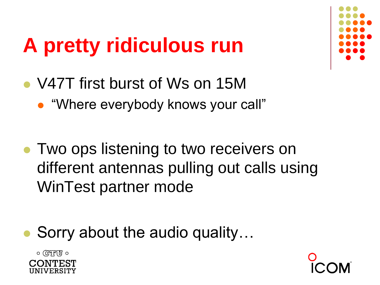## **A pretty ridiculous run**



- ⚫ V47T first burst of Ws on 15M
	- ⚫ "Where everybody knows your call"
- ⚫ Two ops listening to two receivers on different antennas pulling out calls using WinTest partner mode
- ⚫ Sorry about the audio quality…



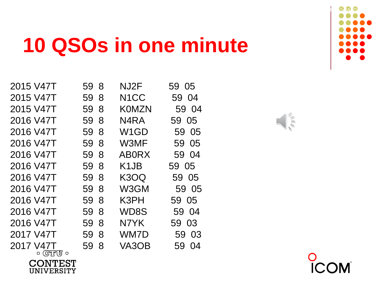#### **10 QSOs in one minute**

| 2015 V47T      | 59 8 | NJ <sub>2</sub> F             | 59 05 |                             |
|----------------|------|-------------------------------|-------|-----------------------------|
| 2015 V47T      | 59 8 | N <sub>1</sub> CC             | 59 04 |                             |
| 2015 V47T      | 59 8 | <b>KOMZN</b>                  | 59 04 |                             |
| 2016 V47T      | 59 8 | N <sub>4</sub> R <sub>A</sub> | 59 05 | $\sqrt{\frac{1}{\sqrt{2}}}$ |
| 2016 V47T      | 59 8 | W <sub>1</sub> GD             | 59 05 |                             |
| 2016 V47T      | 59 8 | W3MF                          | 59 05 |                             |
| 2016 V47T      | 59 8 | <b>ABORX</b>                  | 59 04 |                             |
| 2016 V47T      | 59 8 | K <sub>1</sub> JB             | 59 05 |                             |
| 2016 V47T      | 59 8 | K3OQ                          | 59 05 |                             |
| 2016 V47T      | 59 8 | W3GM                          | 59 05 |                             |
| 2016 V47T      | 59 8 | K3PH                          | 59 05 |                             |
| 2016 V47T      | 59 8 | WD8S                          | 59 04 |                             |
| 2016 V47T      | 59 8 | N7YK                          | 59 03 |                             |
| 2017 V47T      | 59 8 | WM7D                          | 59 03 |                             |
| 2017 V47T      | 59 8 | VA3OB                         | 59 04 |                             |
| ० (स्रैगुपा) ० |      |                               |       | $\sim$                      |

**CONTEST** 

**UNIVERSITY** 



 $\Box$ 

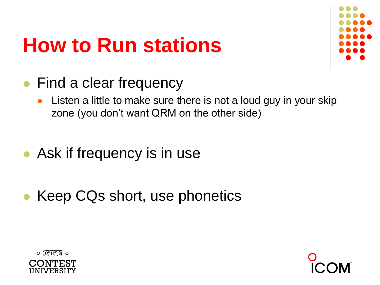#### **How to Run stations**



- Find a clear frequency
	- Listen a little to make sure there is not a loud guy in your skip zone (you don't want QRM on the other side)
- Ask if frequency is in use
- ⚫ Keep CQs short, use phonetics



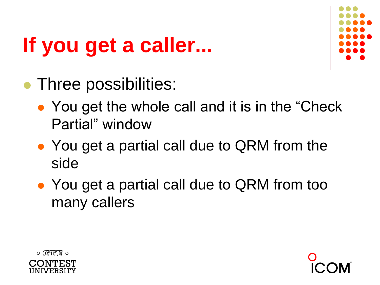## **If you get a caller...**



- ⚫ Three possibilities:
	- You get the whole call and it is in the "Check" Partial" window
	- You get a partial call due to QRM from the side
	- You get a partial call due to QRM from too many callers



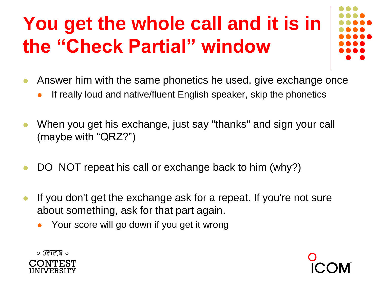#### **You get the whole call and it is in the "Check Partial" window**

- ⚫ Answer him with the same phonetics he used, give exchange once
	- ⚫ If really loud and native/fluent English speaker, skip the phonetics
- When you get his exchange, just say "thanks" and sign your call (maybe with "QRZ?")
- DO NOT repeat his call or exchange back to him (why?)
- ⚫ If you don't get the exchange ask for a repeat. If you're not sure about something, ask for that part again.
	- ⚫ Your score will go down if you get it wrong



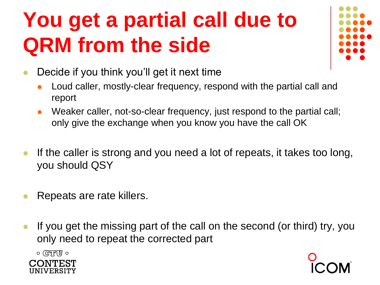## **You get a partial call due to QRM from the side**



- ⚫ Decide if you think you'll get it next time
	- ⚫ Loud caller, mostly-clear frequency, respond with the partial call and report
	- Weaker caller, not-so-clear frequency, just respond to the partial call; only give the exchange when you know you have the call OK
- If the caller is strong and you need a lot of repeats, it takes too long, you should QSY
- ⚫ Repeats are rate killers.
- ⚫ If you get the missing part of the call on the second (or third) try, you only need to repeat the corrected part

 $\circ$  (CTU  $\circ$ **IVERSITY** 

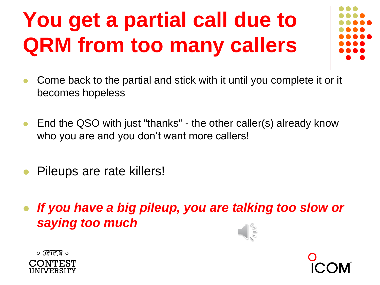## **You get a partial call due to QRM from too many callers**



- ⚫ Come back to the partial and stick with it until you complete it or it becomes hopeless
- End the QSO with just "thanks" the other caller(s) already know who you are and you don't want more callers!
- ⚫ Pileups are rate killers!
- ⚫ *If you have a big pileup, you are talking too slow or saying too much*





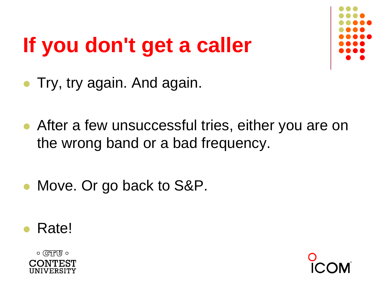# **If you don't get a caller**



- ⚫ Try, try again. And again.
- ⚫ After a few unsuccessful tries, either you are on the wrong band or a bad frequency.
- Move. Or go back to S&P.
- Rate!



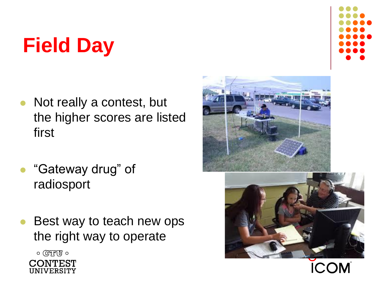## **Field Day**

- ⚫ Not really a contest, but the higher scores are listed first
- ⚫ "Gateway drug" of radiosport
- Best way to teach new ops the right way to operate